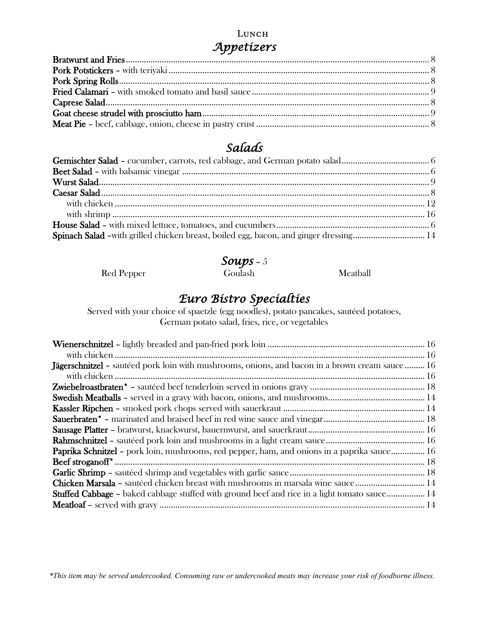#### Lunch *Appetizers*

# *Salads*

| Spinach Salad -with grilled chicken breast, boiled egg, bacon, and ginger dressing 14 |  |
|---------------------------------------------------------------------------------------|--|
|                                                                                       |  |

#### *Soups* – 5

Red Pepper Goulash Meatball

# *Euro Bistro Specialties*

Served with your choice of spaetzle (egg noodles), potato pancakes, sautéed potatoes, German potato salad, fries, rice, or vegetables

| Jägerschnitzel - sautéed pork loin with mushrooms, onions, and bacon in a brown cream sauce  16     |
|-----------------------------------------------------------------------------------------------------|
|                                                                                                     |
|                                                                                                     |
|                                                                                                     |
|                                                                                                     |
|                                                                                                     |
|                                                                                                     |
|                                                                                                     |
| Paprika Schnitzel - pork loin, mushrooms, red pepper, ham, and onions in a paprika sauce 16         |
|                                                                                                     |
|                                                                                                     |
| Chicken Marsala - sautéed chicken breast with mushrooms in marsala wine sauce 14                    |
| <b>Stuffed Cabbage –</b> baked cabbage stuffed with ground beef and rice in a light tomato sauce 14 |
|                                                                                                     |

*\*This item may be served undercooked. Consuming raw or undercooked meats may increase your risk of foodborne illness.*